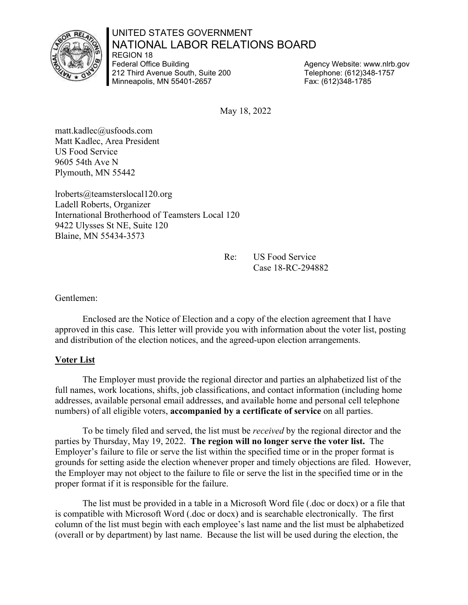#### UNITED STATES GOVERNMENT NATIONAL LABOR RELATIONS BOARD REGION 18

Federal Office Building 212 Third Avenue South, Suite 200 Minneapolis, MN 55401-2657

Agency Website: www.nlrb.gov Telephone: (612)348-1757 Fax: (612)348-1785

May 18, 2022

matt.kadlec@usfoods.com Matt Kadlec, Area President US Food Service 9605 54th Ave N Plymouth, MN 55442

lroberts@teamsterslocal120.org Ladell Roberts, Organizer International Brotherhood of Teamsters Local 120 9422 Ulysses St NE, Suite 120 Blaine, MN 55434-3573

> Re: US Food Service Case 18-RC-294882

Gentlemen:

Enclosed are the Notice of Election and a copy of the election agreement that I have approved in this case. This letter will provide you with information about the voter list, posting and distribution of the election notices, and the agreed-upon election arrangements.

### **Voter List**

The Employer must provide the regional director and parties an alphabetized list of the full names, work locations, shifts, job classifications, and contact information (including home addresses, available personal email addresses, and available home and personal cell telephone numbers) of all eligible voters, **accompanied by a certificate of service** on all parties.

To be timely filed and served, the list must be *received* by the regional director and the parties by Thursday, May 19, 2022. **The region will no longer serve the voter list.** The Employer's failure to file or serve the list within the specified time or in the proper format is grounds for setting aside the election whenever proper and timely objections are filed. However, the Employer may not object to the failure to file or serve the list in the specified time or in the proper format if it is responsible for the failure.

The list must be provided in a table in a Microsoft Word file (.doc or docx) or a file that is compatible with Microsoft Word (.doc or docx) and is searchable electronically. The first column of the list must begin with each employee's last name and the list must be alphabetized (overall or by department) by last name. Because the list will be used during the election, the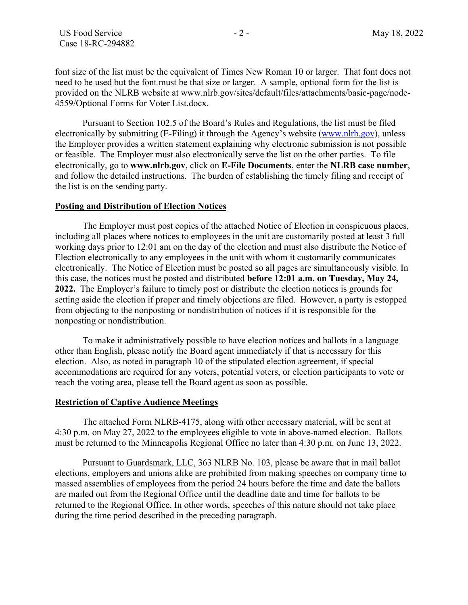font size of the list must be the equivalent of Times New Roman 10 or larger. That font does not need to be used but the font must be that size or larger. A sample, optional form for the list is provided on the NLRB website at www.nlrb.gov/sites/default/files/attachments/basic-page/node-4559/Optional Forms for Voter List.docx.

Pursuant to Section 102.5 of the Board's Rules and Regulations, the list must be filed electronically by submitting (E-Filing) it through the Agency's website (www.nlrb.gov), unless the Employer provides a written statement explaining why electronic submission is not possible or feasible. The Employer must also electronically serve the list on the other parties. To file electronically, go to **www.nlrb.gov**, click on **E-File Documents**, enter the **NLRB case number**, and follow the detailed instructions. The burden of establishing the timely filing and receipt of the list is on the sending party.

#### **Posting and Distribution of Election Notices**

The Employer must post copies of the attached Notice of Election in conspicuous places, including all places where notices to employees in the unit are customarily posted at least 3 full working days prior to 12:01 am on the day of the election and must also distribute the Notice of Election electronically to any employees in the unit with whom it customarily communicates electronically. The Notice of Election must be posted so all pages are simultaneously visible. In this case, the notices must be posted and distributed **before 12:01 a.m. on Tuesday, May 24, 2022.** The Employer's failure to timely post or distribute the election notices is grounds for setting aside the election if proper and timely objections are filed.However, a party is estopped from objecting to the nonposting or nondistribution of notices if it is responsible for the nonposting or nondistribution.

To make it administratively possible to have election notices and ballots in a language other than English, please notify the Board agent immediately if that is necessary for this election. Also, as noted in paragraph 10 of the stipulated election agreement, if special accommodations are required for any voters, potential voters, or election participants to vote or reach the voting area, please tell the Board agent as soon as possible.

#### **Restriction of Captive Audience Meetings**

The attached Form NLRB-4175, along with other necessary material, will be sent at 4:30 p.m. on May 27, 2022 to the employees eligible to vote in above-named election. Ballots must be returned to the Minneapolis Regional Office no later than 4:30 p.m. on June 13, 2022.

Pursuant to Guardsmark, LLC, 363 NLRB No. 103, please be aware that in mail ballot elections, employers and unions alike are prohibited from making speeches on company time to massed assemblies of employees from the period 24 hours before the time and date the ballots are mailed out from the Regional Office until the deadline date and time for ballots to be returned to the Regional Office. In other words, speeches of this nature should not take place during the time period described in the preceding paragraph.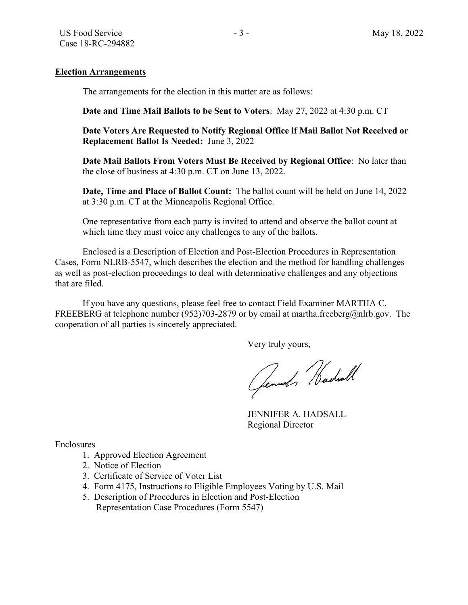#### **Election Arrangements**

The arrangements for the election in this matter are as follows:

**Date and Time Mail Ballots to be Sent to Voters**: May 27, 2022 at 4:30 p.m. CT

**Date Voters Are Requested to Notify Regional Office if Mail Ballot Not Received or Replacement Ballot Is Needed:** June 3, 2022

**Date Mail Ballots From Voters Must Be Received by Regional Office**: No later than the close of business at 4:30 p.m. CT on June 13, 2022.

**Date, Time and Place of Ballot Count:** The ballot count will be held on June 14, 2022 at 3:30 p.m. CT at the Minneapolis Regional Office.

One representative from each party is invited to attend and observe the ballot count at which time they must voice any challenges to any of the ballots.

Enclosed is a Description of Election and Post-Election Procedures in Representation Cases, Form NLRB-5547, which describes the election and the method for handling challenges as well as post-election proceedings to deal with determinative challenges and any objections that are filed.

If you have any questions, please feel free to contact Field Examiner MARTHA C. FREEBERG at telephone number (952)703-2879 or by email at martha.freeberg@nlrb.gov. The cooperation of all parties is sincerely appreciated.

Very truly yours,

Gennet Hadrall

JENNIFER A. HADSALL Regional Director

Enclosures

- 1. Approved Election Agreement
- 2. Notice of Election
- 3. Certificate of Service of Voter List
- 4. Form 4175, Instructions to Eligible Employees Voting by U.S. Mail
- 5. Description of Procedures in Election and Post-Election Representation Case Procedures (Form 5547)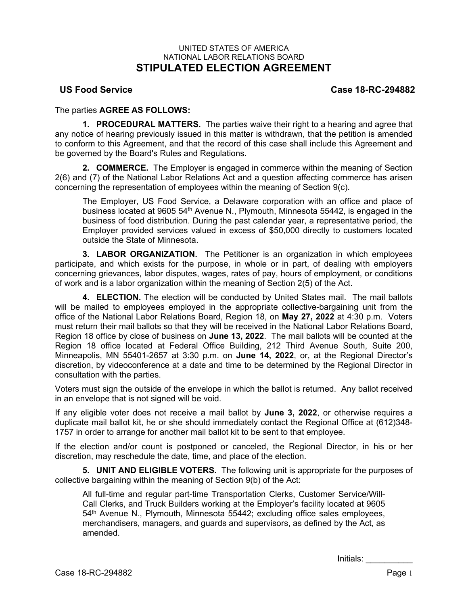#### UNITED STATES OF AMERICA NATIONAL LABOR RELATIONS BOARD **STIPULATED ELECTION AGREEMENT**

**US Food Service Case 18-RC-294882**

The parties **AGREE AS FOLLOWS:**

**1. PROCEDURAL MATTERS.** The parties waive their right to a hearing and agree that any notice of hearing previously issued in this matter is withdrawn, that the petition is amended to conform to this Agreement, and that the record of this case shall include this Agreement and be governed by the Board's Rules and Regulations.

**2. COMMERCE.** The Employer is engaged in commerce within the meaning of Section 2(6) and (7) of the National Labor Relations Act and a question affecting commerce has arisen concerning the representation of employees within the meaning of Section 9(c).

The Employer, US Food Service, a Delaware corporation with an office and place of business located at 9605 54<sup>th</sup> Avenue N., Plymouth, Minnesota 55442, is engaged in the business of food distribution. During the past calendar year, a representative period, the Employer provided services valued in excess of \$50,000 directly to customers located outside the State of Minnesota.

**3. LABOR ORGANIZATION.** The Petitioner is an organization in which employees participate, and which exists for the purpose, in whole or in part, of dealing with employers concerning grievances, labor disputes, wages, rates of pay, hours of employment, or conditions of work and is a labor organization within the meaning of Section 2(5) of the Act.

**4. ELECTION.** The election will be conducted by United States mail. The mail ballots will be mailed to employees employed in the appropriate collective-bargaining unit from the office of the National Labor Relations Board, Region 18, on **May 27, 2022** at 4:30 p.m. Voters must return their mail ballots so that they will be received in the National Labor Relations Board, Region 18 office by close of business on **June 13, 2022**. The mail ballots will be counted at the Region 18 office located at Federal Office Building, 212 Third Avenue South, Suite 200, Minneapolis, MN 55401-2657 at 3:30 p.m. on **June 14, 2022**, or, at the Regional Director's discretion, by videoconference at a date and time to be determined by the Regional Director in consultation with the parties.

Voters must sign the outside of the envelope in which the ballot is returned. Any ballot received in an envelope that is not signed will be void.

If any eligible voter does not receive a mail ballot by **June 3, 2022**, or otherwise requires a duplicate mail ballot kit, he or she should immediately contact the Regional Office at (612)348- 1757 in order to arrange for another mail ballot kit to be sent to that employee.

If the election and/or count is postponed or canceled, the Regional Director, in his or her discretion, may reschedule the date, time, and place of the election.

**5. UNIT AND ELIGIBLE VOTERS.** The following unit is appropriate for the purposes of collective bargaining within the meaning of Section 9(b) of the Act:

All full-time and regular part-time Transportation Clerks, Customer Service/Will-Call Clerks, and Truck Builders working at the Employer's facility located at 9605 54th Avenue N., Plymouth, Minnesota 55442; excluding office sales employees, merchandisers, managers, and guards and supervisors, as defined by the Act, as amended.

Initials: \_\_\_\_\_\_\_\_\_\_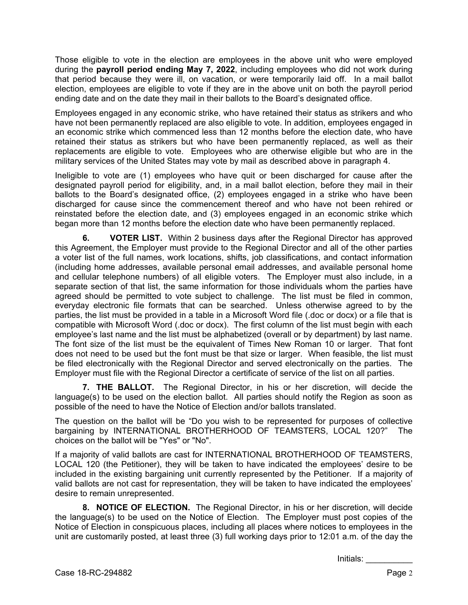Those eligible to vote in the election are employees in the above unit who were employed during the **payroll period ending May 7, 2022**, including employees who did not work during that period because they were ill, on vacation, or were temporarily laid off. In a mail ballot election, employees are eligible to vote if they are in the above unit on both the payroll period ending date and on the date they mail in their ballots to the Board's designated office.

Employees engaged in any economic strike, who have retained their status as strikers and who have not been permanently replaced are also eligible to vote. In addition, employees engaged in an economic strike which commenced less than 12 months before the election date, who have retained their status as strikers but who have been permanently replaced, as well as their replacements are eligible to vote. Employees who are otherwise eligible but who are in the military services of the United States may vote by mail as described above in paragraph 4.

Ineligible to vote are (1) employees who have quit or been discharged for cause after the designated payroll period for eligibility, and, in a mail ballot election, before they mail in their ballots to the Board's designated office, (2) employees engaged in a strike who have been discharged for cause since the commencement thereof and who have not been rehired or reinstated before the election date, and (3) employees engaged in an economic strike which began more than 12 months before the election date who have been permanently replaced.

**6. VOTER LIST.** Within 2 business days after the Regional Director has approved this Agreement, the Employer must provide to the Regional Director and all of the other parties a voter list of the full names, work locations, shifts, job classifications, and contact information (including home addresses, available personal email addresses, and available personal home and cellular telephone numbers) of all eligible voters. The Employer must also include, in a separate section of that list, the same information for those individuals whom the parties have agreed should be permitted to vote subject to challenge. The list must be filed in common, everyday electronic file formats that can be searched. Unless otherwise agreed to by the parties, the list must be provided in a table in a Microsoft Word file (.doc or docx) or a file that is compatible with Microsoft Word (.doc or docx). The first column of the list must begin with each employee's last name and the list must be alphabetized (overall or by department) by last name. The font size of the list must be the equivalent of Times New Roman 10 or larger. That font does not need to be used but the font must be that size or larger. When feasible, the list must be filed electronically with the Regional Director and served electronically on the parties. The Employer must file with the Regional Director a certificate of service of the list on all parties.

**7. THE BALLOT.** The Regional Director, in his or her discretion, will decide the language(s) to be used on the election ballot. All parties should notify the Region as soon as possible of the need to have the Notice of Election and/or ballots translated.

The question on the ballot will be "Do you wish to be represented for purposes of collective bargaining by INTERNATIONAL BROTHERHOOD OF TEAMSTERS, LOCAL 120?" The choices on the ballot will be "Yes" or "No".

If a majority of valid ballots are cast for INTERNATIONAL BROTHERHOOD OF TEAMSTERS, LOCAL 120 (the Petitioner), they will be taken to have indicated the employees' desire to be included in the existing bargaining unit currently represented by the Petitioner. If a majority of valid ballots are not cast for representation, they will be taken to have indicated the employees' desire to remain unrepresented.

**8. NOTICE OF ELECTION.** The Regional Director, in his or her discretion, will decide the language(s) to be used on the Notice of Election. The Employer must post copies of the Notice of Election in conspicuous places, including all places where notices to employees in the unit are customarily posted, at least three (3) full working days prior to 12:01 a.m. of the day the

Initials: \_\_\_\_\_\_\_\_\_\_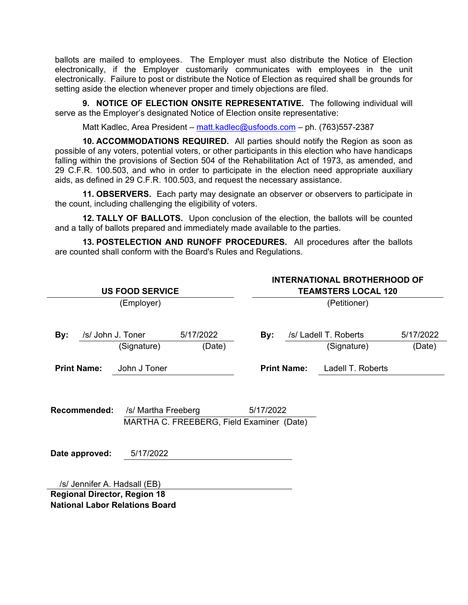ballots are mailed to employees. The Employer must also distribute the Notice of Election electronically, if the Employer customarily communicates with employees in the unit electronically. Failure to post or distribute the Notice of Election as required shall be grounds for setting aside the election whenever proper and timely objections are filed.

**9. NOTICE OF ELECTION ONSITE REPRESENTATIVE.** The following individual will serve as the Employer's designated Notice of Election onsite representative:

Matt Kadlec, Area President – matt.kadlec@usfoods.com – ph. (763)557-2387

**10. ACCOMMODATIONS REQUIRED.** All parties should notify the Region as soon as possible of any voters, potential voters, or other participants in this election who have handicaps falling within the provisions of Section 504 of the Rehabilitation Act of 1973, as amended, and 29 C.F.R. 100.503, and who in order to participate in the election need appropriate auxiliary aids, as defined in 29 C.F.R. 100.503, and request the necessary assistance.

**11. OBSERVERS.** Each party may designate an observer or observers to participate in the count, including challenging the eligibility of voters.

**12. TALLY OF BALLOTS.** Upon conclusion of the election, the ballots will be counted and a tally of ballots prepared and immediately made available to the parties.

**13. POSTELECTION AND RUNOFF PROCEDURES.** All procedures after the ballots are counted shall conform with the Board's Rules and Regulations.

| <b>US FOOD SERVICE</b>                |                   |                                                                  |           |           | <b>INTERNATIONAL BROTHERHOOD OF</b><br><b>TEAMSTERS LOCAL 120</b> |                       |           |  |
|---------------------------------------|-------------------|------------------------------------------------------------------|-----------|-----------|-------------------------------------------------------------------|-----------------------|-----------|--|
|                                       |                   |                                                                  |           |           |                                                                   |                       |           |  |
|                                       |                   | (Employer)                                                       |           |           |                                                                   | (Petitioner)          |           |  |
| By:                                   | /s/ John J. Toner |                                                                  | 5/17/2022 | By:       |                                                                   | /s/ Ladell T. Roberts | 5/17/2022 |  |
|                                       |                   | (Signature)                                                      | (Date)    |           |                                                                   | (Signature)           | (Date)    |  |
| <b>Print Name:</b>                    |                   | John J Toner                                                     |           |           | <b>Print Name:</b>                                                | Ladell T. Roberts     |           |  |
| <b>Recommended:</b>                   |                   | /s/ Martha Freeberg<br>MARTHA C. FREEBERG, Field Examiner (Date) |           | 5/17/2022 |                                                                   |                       |           |  |
|                                       | Date approved:    | 5/17/2022                                                        |           |           |                                                                   |                       |           |  |
|                                       |                   | /s/ Jennifer A. Hadsall (EB)                                     |           |           |                                                                   |                       |           |  |
|                                       |                   | <b>Regional Director, Region 18</b>                              |           |           |                                                                   |                       |           |  |
| <b>National Labor Relations Board</b> |                   |                                                                  |           |           |                                                                   |                       |           |  |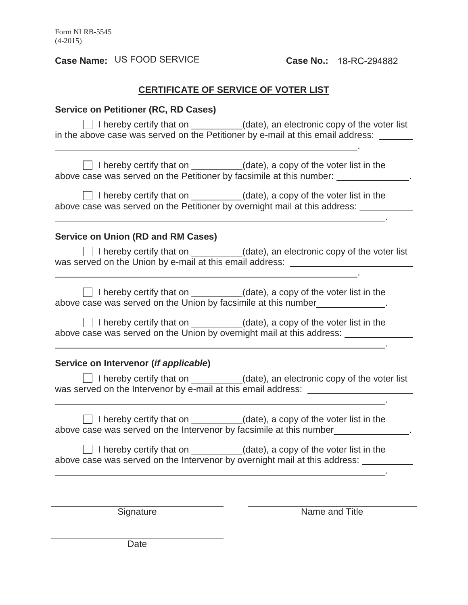**Case Name:** US FOOD SERVICE

## **CERTIFICATE OF SERVICE OF VOTER LIST**

| <b>Service on Petitioner (RC, RD Cases)</b>                                                                                                                                |                                                                                                                                                                                                                                                                                        |  |  |  |  |  |  |
|----------------------------------------------------------------------------------------------------------------------------------------------------------------------------|----------------------------------------------------------------------------------------------------------------------------------------------------------------------------------------------------------------------------------------------------------------------------------------|--|--|--|--|--|--|
| □ I hereby certify that on _________(date), an electronic copy of the voter list<br>in the above case was served on the Petitioner by e-mail at this email address: ______ |                                                                                                                                                                                                                                                                                        |  |  |  |  |  |  |
|                                                                                                                                                                            | □ I hereby certify that on _________(date), a copy of the voter list in the<br>above case was served on the Petitioner by facsimile at this number: _____________.                                                                                                                     |  |  |  |  |  |  |
|                                                                                                                                                                            | I hereby certify that on _________(date), a copy of the voter list in the<br>above case was served on the Petitioner by overnight mail at this address: __________<br>and the control of the control of the control of the control of the control of the control of the control of the |  |  |  |  |  |  |
| <b>Service on Union (RD and RM Cases)</b>                                                                                                                                  |                                                                                                                                                                                                                                                                                        |  |  |  |  |  |  |
|                                                                                                                                                                            | $\Box$ I hereby certify that on $\_\_\_\_\_$ (date), an electronic copy of the voter list<br>was served on the Union by e-mail at this email address: _______________________                                                                                                          |  |  |  |  |  |  |
| above case was served on the Union by facsimile at this number_____________.                                                                                               | □ I hereby certify that on _________(date), a copy of the voter list in the                                                                                                                                                                                                            |  |  |  |  |  |  |
| above case was served on the Union by overnight mail at this address:                                                                                                      | □ I hereby certify that on _________(date), a copy of the voter list in the                                                                                                                                                                                                            |  |  |  |  |  |  |
| Service on Intervenor (if applicable)                                                                                                                                      |                                                                                                                                                                                                                                                                                        |  |  |  |  |  |  |
|                                                                                                                                                                            | □ I hereby certify that on __________(date), an electronic copy of the voter list<br>was served on the Intervenor by e-mail at this email address: __________________                                                                                                                  |  |  |  |  |  |  |
|                                                                                                                                                                            | □ I hereby certify that on _________(date), a copy of the voter list in the<br>above case was served on the Intervenor by facsimile at this number______________                                                                                                                       |  |  |  |  |  |  |
| I hereby certify that on __________(date), a copy of the voter list in the<br>above case was served on the Intervenor by overnight mail at this address: _____             |                                                                                                                                                                                                                                                                                        |  |  |  |  |  |  |
|                                                                                                                                                                            |                                                                                                                                                                                                                                                                                        |  |  |  |  |  |  |
| Signature                                                                                                                                                                  | Name and Title                                                                                                                                                                                                                                                                         |  |  |  |  |  |  |
|                                                                                                                                                                            |                                                                                                                                                                                                                                                                                        |  |  |  |  |  |  |

Date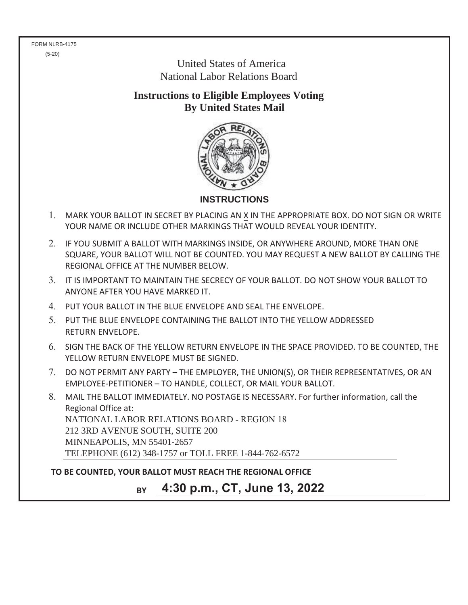FORM NLRB-4175 (5-20)

> United States of America National Labor Relations Board

**Instructions to Eligible Employees Voting By United States Mail**



- MARK YOUR BALLOT IN SECRET BY PLACING AN X IN THE APPROPRIATE BOX. DO NOT SIGN OR WRITE YOUR NAME OR INCLUDE OTHER MARKINGS THAT WOULD REVEAL YOUR IDENTITY.
- 2. IF YOU SUBMIT A BALLOT WITH MARKINGS INSIDE, OR ANYWHERE AROUND, MORE THAN ONE SQUARE, YOUR BALLOT WILL NOT BE COUNTED. YOU MAY REQUEST A NEW BALLOT BY CALLING THE REGIONAL OFFICE AT THE NUMBER BELOW.
- IT IS IMPORTANT TO MAINTAIN THE SECRECY OF YOUR BALLOT. DO NOT SHOW YOUR BALLOT TO ANYONE AFTER YOU HAVE MARKED IT.
- PUT YOUR BALLOT IN THE BLUE ENVELOPE AND SEAL THE ENVELOPE.
- PUT THE BLUE ENVELOPE CONTAINING THE BALLOT INTO THE YELLOW ADDRESSED RETURN ENVELOPE.
- SIGN THE BACK OF THE YELLOW RETURN ENVELOPE IN THE SPACE PROVIDED. TO BE COUNTED, THE YELLOW RETURN ENVELOPE MUST BE SIGNED.
- DO NOT PERMIT ANY PARTY THE EMPLOYER, THE UNION(S), OR THEIR REPRESENTATIVES, OR AN EMPLOYEE-PETITIONER – TO HANDLE, COLLECT, OR MAIL YOUR BALLOT.

 MAIL THE BALLOT IMMEDIATELY. NO POSTAGE IS NECESSARY. For further information, call the Regional Office at: NATIONAL LABOR RELATIONS BOARD - REGION 18 212 3RD AVENUE SOUTH, SUITE 200 MINNEAPOLIS, MN 55401-2657 TELEPHONE (612) 348-1757 or TOLL FREE 1-844-762-6572

**TO BE COUNTED, YOUR BALLOT MUST REACH THE REGIONAL OFFICE**

**BY 4:30 p.m., CT, June 13, 2022**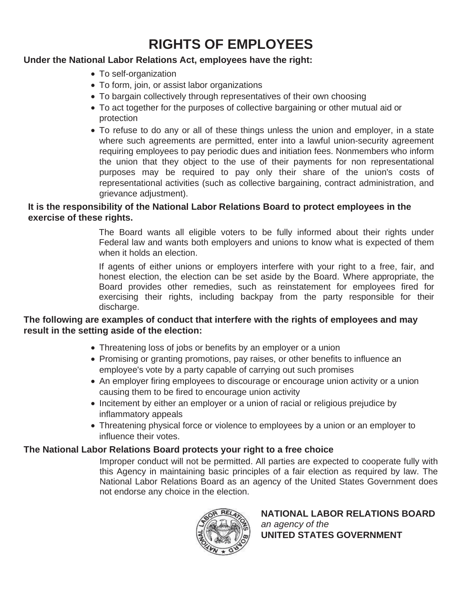# **RIGHTS OF EMPLOYEES**

## **Under the National Labor Relations Act, employees have the right:**

- To self-organization
- To form, join, or assist labor organizations
- To bargain collectively through representatives of their own choosing
- To act together for the purposes of collective bargaining or other mutual aid or protection
- To refuse to do any or all of these things unless the union and employer, in a state where such agreements are permitted, enter into a lawful union-security agreement requiring employees to pay periodic dues and initiation fees. Nonmembers who inform the union that they object to the use of their payments for non representational purposes may be required to pay only their share of the union's costs of representational activities (such as collective bargaining, contract administration, and grievance adjustment).

## **It is the responsibility of the National Labor Relations Board to protect employees in the exercise of these rights.**

The Board wants all eligible voters to be fully informed about their rights under Federal law and wants both employers and unions to know what is expected of them when it holds an election.

If agents of either unions or employers interfere with your right to a free, fair, and honest election, the election can be set aside by the Board. Where appropriate, the Board provides other remedies, such as reinstatement for employees fired for exercising their rights, including backpay from the party responsible for their discharge.

## **The following are examples of conduct that interfere with the rights of employees and may result in the setting aside of the election:**

- Threatening loss of jobs or benefits by an employer or a union
- Promising or granting promotions, pay raises, or other benefits to influence an employee's vote by a party capable of carrying out such promises
- An employer firing employees to discourage or encourage union activity or a union causing them to be fired to encourage union activity
- Incitement by either an employer or a union of racial or religious prejudice by inflammatory appeals
- Threatening physical force or violence to employees by a union or an employer to influence their votes.

## **The National Labor Relations Board protects your right to a free choice**

Improper conduct will not be permitted. All parties are expected to cooperate fully with this Agency in maintaining basic principles of a fair election as required by law. The National Labor Relations Board as an agency of the United States Government does not endorse any choice in the election.



**NATIONAL LABOR RELATIONS BOARD** *an agency of the* **UNITED STATES GOVERNMENT**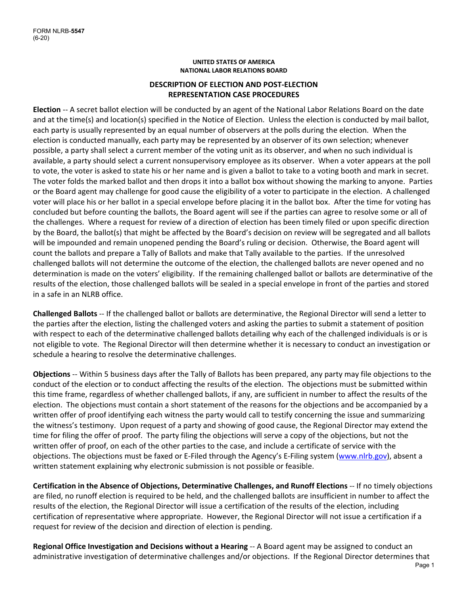#### **UNITED STATES OF AMERICA NATIONAL LABOR RELATIONS BOARD**

#### **DESCRIPTION OF ELECTION AND POST‐ELECTION REPRESENTATION CASE PROCEDURES**

**Election** ‐‐ A secret ballot election will be conducted by an agent of the National Labor Relations Board on the date and at the time(s) and location(s) specified in the Notice of Election. Unless the election is conducted by mail ballot, each party is usually represented by an equal number of observers at the polls during the election. When the election is conducted manually, each party may be represented by an observer of its own selection; whenever possible, a party shall select a current member of the voting unit as its observer, and when no such individual is available, a party should select a current nonsupervisory employee as its observer. When a voter appears at the poll to vote, the voter is asked to state his or her name and is given a ballot to take to a voting booth and mark in secret. The voter folds the marked ballot and then drops it into a ballot box without showing the marking to anyone. Parties or the Board agent may challenge for good cause the eligibility of a voter to participate in the election. A challenged voter will place his or her ballot in a special envelope before placing it in the ballot box. After the time for voting has concluded but before counting the ballots, the Board agent will see if the parties can agree to resolve some or all of the challenges. Where a request for review of a direction of election has been timely filed or upon specific direction by the Board, the ballot(s) that might be affected by the Board's decision on review will be segregated and all ballots will be impounded and remain unopened pending the Board's ruling or decision. Otherwise, the Board agent will count the ballots and prepare a Tally of Ballots and make that Tally available to the parties. If the unresolved challenged ballots will not determine the outcome of the election, the challenged ballots are never opened and no determination is made on the voters' eligibility. If the remaining challenged ballot or ballots are determinative of the results of the election, those challenged ballots will be sealed in a special envelope in front of the parties and stored in a safe in an NLRB office.

**Challenged Ballots** ‐‐ If the challenged ballot or ballots are determinative, the Regional Director will send a letter to the parties after the election, listing the challenged voters and asking the parties to submit a statement of position with respect to each of the determinative challenged ballots detailing why each of the challenged individuals is or is not eligible to vote. The Regional Director will then determine whether it is necessary to conduct an investigation or schedule a hearing to resolve the determinative challenges.

**Objections** ‐‐ Within 5 business days after the Tally of Ballots has been prepared, any party may file objections to the conduct of the election or to conduct affecting the results of the election. The objections must be submitted within this time frame, regardless of whether challenged ballots, if any, are sufficient in number to affect the results of the election. The objections must contain a short statement of the reasons for the objections and be accompanied by a written offer of proof identifying each witness the party would call to testify concerning the issue and summarizing the witness's testimony. Upon request of a party and showing of good cause, the Regional Director may extend the time for filing the offer of proof. The party filing the objections will serve a copy of the objections, but not the written offer of proof, on each of the other parties to the case, and include a certificate of service with the objections. The objections must be faxed or E-Filed through the Agency's E-Filing system (www.nlrb.gov), absent a written statement explaining why electronic submission is not possible or feasible.

**Certification in the Absence of Objections, Determinative Challenges, and Runoff Elections** ‐‐ If no timely objections are filed, no runoff election is required to be held, and the challenged ballots are insufficient in number to affect the results of the election, the Regional Director will issue a certification of the results of the election, including certification of representative where appropriate. However, the Regional Director will not issue a certification if a request for review of the decision and direction of election is pending.

**Regional Office Investigation and Decisions without a Hearing** ‐‐ A Board agent may be assigned to conduct an administrative investigation of determinative challenges and/or objections. If the Regional Director determines that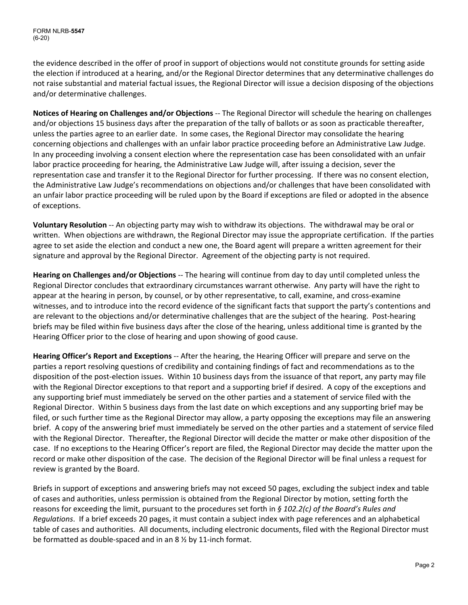FORM NLRB-**5547** (6-20)

the evidence described in the offer of proof in support of objections would not constitute grounds for setting aside the election if introduced at a hearing, and/or the Regional Director determines that any determinative challenges do not raise substantial and material factual issues, the Regional Director will issue a decision disposing of the objections and/or determinative challenges.

**Notices of Hearing on Challenges and/or Objections** ‐‐ The Regional Director will schedule the hearing on challenges and/or objections 15 business days after the preparation of the tally of ballots or as soon as practicable thereafter, unless the parties agree to an earlier date. In some cases, the Regional Director may consolidate the hearing concerning objections and challenges with an unfair labor practice proceeding before an Administrative Law Judge. In any proceeding involving a consent election where the representation case has been consolidated with an unfair labor practice proceeding for hearing, the Administrative Law Judge will, after issuing a decision, sever the representation case and transfer it to the Regional Director for further processing. If there was no consent election, the Administrative Law Judge's recommendations on objections and/or challenges that have been consolidated with an unfair labor practice proceeding will be ruled upon by the Board if exceptions are filed or adopted in the absence of exceptions.

**Voluntary Resolution** ‐‐ An objecting party may wish to withdraw its objections. The withdrawal may be oral or written. When objections are withdrawn, the Regional Director may issue the appropriate certification. If the parties agree to set aside the election and conduct a new one, the Board agent will prepare a written agreement for their signature and approval by the Regional Director. Agreement of the objecting party is not required.

**Hearing on Challenges and/or Objections** ‐‐ The hearing will continue from day to day until completed unless the Regional Director concludes that extraordinary circumstances warrant otherwise. Any party will have the right to appear at the hearing in person, by counsel, or by other representative, to call, examine, and cross‐examine witnesses, and to introduce into the record evidence of the significant facts that support the party's contentions and are relevant to the objections and/or determinative challenges that are the subject of the hearing. Post-hearing briefs may be filed within five business days after the close of the hearing, unless additional time is granted by the Hearing Officer prior to the close of hearing and upon showing of good cause.

**Hearing Officer's Report and Exceptions** ‐‐ After the hearing, the Hearing Officer will prepare and serve on the parties a report resolving questions of credibility and containing findings of fact and recommendations as to the disposition of the post‐election issues. Within 10 business days from the issuance of that report, any party may file with the Regional Director exceptions to that report and a supporting brief if desired. A copy of the exceptions and any supporting brief must immediately be served on the other parties and a statement of service filed with the Regional Director. Within 5 business days from the last date on which exceptions and any supporting brief may be filed, or such further time as the Regional Director may allow, a party opposing the exceptions may file an answering brief. A copy of the answering brief must immediately be served on the other parties and a statement of service filed with the Regional Director. Thereafter, the Regional Director will decide the matter or make other disposition of the case. If no exceptions to the Hearing Officer's report are filed, the Regional Director may decide the matter upon the record or make other disposition of the case. The decision of the Regional Director will be final unless a request for review is granted by the Board.

Briefs in support of exceptions and answering briefs may not exceed 50 pages, excluding the subject index and table of cases and authorities, unless permission is obtained from the Regional Director by motion, setting forth the reasons for exceeding the limit, pursuant to the procedures set forth in *§ 102.2(c) of the Board's Rules and Regulations*. If a brief exceeds 20 pages, it must contain a subject index with page references and an alphabetical table of cases and authorities. All documents, including electronic documents, filed with the Regional Director must be formatted as double‐spaced and in an 8 ½ by 11‐inch format.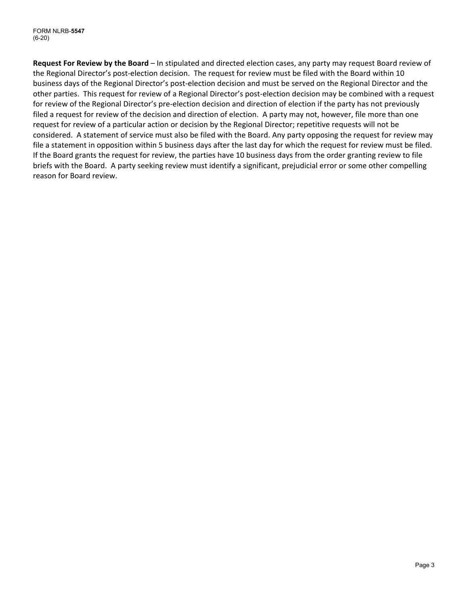**Request For Review by the Board** – In stipulated and directed election cases, any party may request Board review of the Regional Director's post‐election decision. The request for review must be filed with the Board within 10 business days of the Regional Director's post‐election decision and must be served on the Regional Director and the other parties. This request for review of a Regional Director's post‐election decision may be combined with a request for review of the Regional Director's pre-election decision and direction of election if the party has not previously filed a request for review of the decision and direction of election. A party may not, however, file more than one request for review of a particular action or decision by the Regional Director; repetitive requests will not be considered. A statement of service must also be filed with the Board. Any party opposing the request for review may file a statement in opposition within 5 business days after the last day for which the request for review must be filed. If the Board grants the request for review, the parties have 10 business days from the order granting review to file briefs with the Board. A party seeking review must identify a significant, prejudicial error or some other compelling reason for Board review.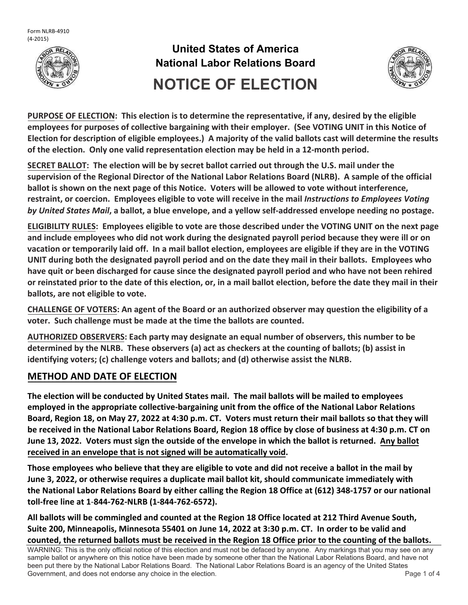



**PURPOSE OF ELECTION: This election is to determine the representative, if any, desired by the eligible employees for purposes of collective bargaining with their employer. (See VOTING UNIT in this Notice of** Election for description of eligible employees.) A majority of the valid ballots cast will determine the results **of the election. Only one valid representation election may be held in a 12‐month period.**

**SECRET BALLOT: The election will be by secret ballot carried out through the U.S. mail under the** supervision of the Regional Director of the National Labor Relations Board (NLRB). A sample of the official ballot is shown on the next page of this Notice. Voters will be allowed to vote without interference, restraint, or coercion. Employees eligible to vote will receive in the mail Instructions to Employees Voting by United States Mail, a ballot, a blue envelope, and a yellow self-addressed envelope needing no postage.

**ELIGIBILITY RULES: Employees eligible to vote are those described under the VOTING UNIT on the next page** and include employees who did not work during the designated payroll period because they were ill or on vacation or temporarily laid off. In a mail ballot election, employees are eligible if they are in the VOTING UNIT during both the designated payroll period and on the date they mail in their ballots. Employees who have quit or been discharged for cause since the designated payroll period and who have not been rehired or reinstated prior to the date of this election, or, in a mail ballot election, before the date they mail in their **ballots, are not eligible to vote.**

CHALLENGE OF VOTERS: An agent of the Board or an authorized observer may question the eligibility of a **voter. Such challenge must be made at the time the ballots are counted.**

**AUTHORIZED OBSERVERS: Each party may designate an equal number of observers, this number to be** determined by the NLRB. These observers (a) act as checkers at the counting of ballots; (b) assist in **identifying voters; (c) challenge voters and ballots; and (d) otherwise assist the NLRB.**

## **METHOD AND DATE OF ELECTION**

The election will be conducted by United States mail. The mail ballots will be mailed to employees **employed in the appropriate collective‐bargaining unit from the office of the National Labor Relations** Board, Region 18, on May 27, 2022 at 4:30 p.m. CT. Voters must return their mail ballots so that they will be received in the National Labor Relations Board, Region 18 office by close of business at 4:30 p.m. CT on June 13, 2022. Voters must sign the outside of the envelope in which the ballot is returned. Any ballot **received in an envelope that is not signed will be automatically void.**

Those employees who believe that they are eligible to vote and did not receive a ballot in the mail by **June 3, 2022, or otherwise requires a duplicate mail ballot kit, should communicate immediately with** the National Labor Relations Board by either calling the Region 18 Office at (612) 348-1757 or our national **toll‐free line at 1**‐**844‐762‐NLRB (1‐844‐762‐6572).**

All ballots will be commingled and counted at the Region 18 Office located at 212 Third Avenue South, Suite 200, Minneapolis, Minnesota 55401 on June 14, 2022 at 3:30 p.m. CT. In order to be valid and counted, the returned ballots must be received in the Region 18 Office prior to the counting of the ballots.

WARNING: This is the only official notice of this election and must not be defaced by anyone. Any markings that you may see on any sample ballot or anywhere on this notice have been made by someone other than the National Labor Relations Board, and have not been put there by the National Labor Relations Board. The National Labor Relations Board is an agency of the United States Government, and does not endorse any choice in the election. The endorse and the election of 4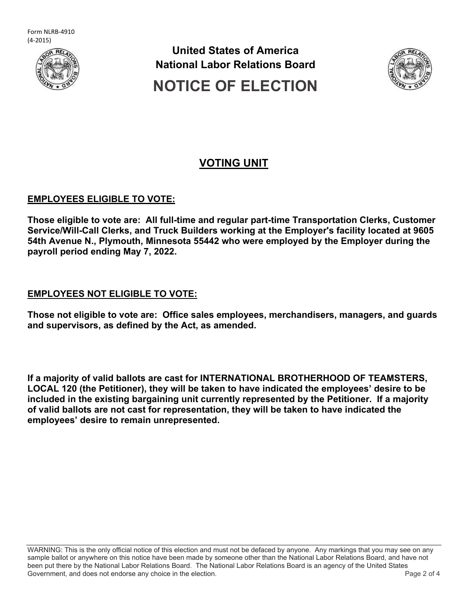



## **VOTING UNIT**

### **EMPLOYEES ELIGIBLE TO VOTE:**

**Those eligible to vote are: All full-time and regular part-time Transportation Clerks, Customer Service/Will-Call Clerks, and Truck Builders working at the Employer's facility located at 9605 54th Avenue N., Plymouth, Minnesota 55442 who were employed by the Employer during the payroll period ending May 7, 2022.** 

### **EMPLOYEES NOT ELIGIBLE TO VOTE:**

**Those not eligible to vote are: Office sales employees, merchandisers, managers, and guards and supervisors, as defined by the Act, as amended.** 

**If a majority of valid ballots are cast for INTERNATIONAL BROTHERHOOD OF TEAMSTERS, LOCAL 120 (the Petitioner), they will be taken to have indicated the employees' desire to be included in the existing bargaining unit currently represented by the Petitioner. If a majority of valid ballots are not cast for representation, they will be taken to have indicated the employees' desire to remain unrepresented.** 

WARNING: This is the only official notice of this election and must not be defaced by anyone. Any markings that you may see on any sample ballot or anywhere on this notice have been made by someone other than the National Labor Relations Board, and have not been put there by the National Labor Relations Board. The National Labor Relations Board is an agency of the United States Government, and does not endorse any choice in the election. The endorse and the election of 4 and 5 of 4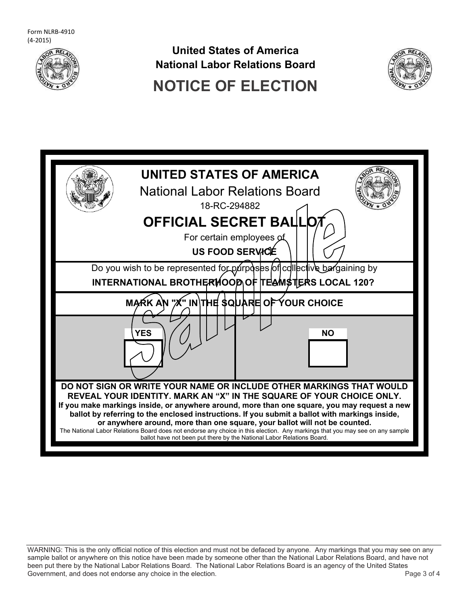





WARNING: This is the only official notice of this election and must not be defaced by anyone. Any markings that you may see on any sample ballot or anywhere on this notice have been made by someone other than the National Labor Relations Board, and have not been put there by the National Labor Relations Board. The National Labor Relations Board is an agency of the United States Government, and does not endorse any choice in the election. The endorse and the state of 4 series and 5 of 4